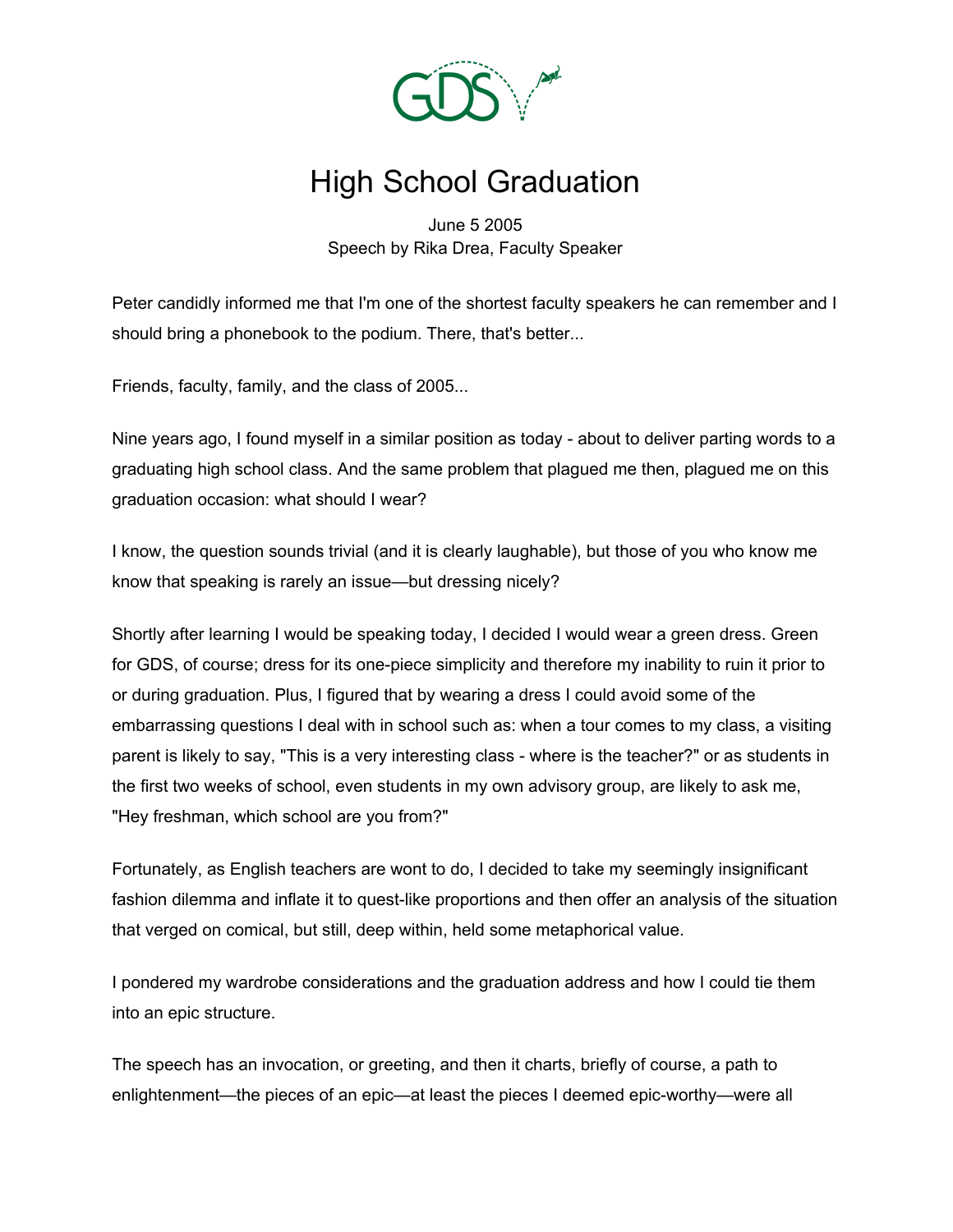

## High School Graduation

June 5 2005 Speech by Rika Drea, Faculty Speaker

Peter candidly informed me that I'm one of the shortest faculty speakers he can remember and I should bring a phonebook to the podium. There, that's better...

Friends, faculty, family, and the class of 2005...

Nine years ago, I found myself in a similar position as today - about to deliver parting words to a graduating high school class. And the same problem that plagued me then, plagued me on this graduation occasion: what should I wear?

I know, the question sounds trivial (and it is clearly laughable), but those of you who know me know that speaking is rarely an issue—but dressing nicely?

Shortly after learning I would be speaking today, I decided I would wear a green dress. Green for GDS, of course; dress for its one-piece simplicity and therefore my inability to ruin it prior to or during graduation. Plus, I figured that by wearing a dress I could avoid some of the embarrassing questions I deal with in school such as: when a tour comes to my class, a visiting parent is likely to say, "This is a very interesting class - where is the teacher?" or as students in the first two weeks of school, even students in my own advisory group, are likely to ask me, "Hey freshman, which school are you from?"

Fortunately, as English teachers are wont to do, I decided to take my seemingly insignificant fashion dilemma and inflate it to quest-like proportions and then offer an analysis of the situation that verged on comical, but still, deep within, held some metaphorical value.

I pondered my wardrobe considerations and the graduation address and how I could tie them into an epic structure.

The speech has an invocation, or greeting, and then it charts, briefly of course, a path to enlightenment—the pieces of an epic—at least the pieces I deemed epic-worthy—were all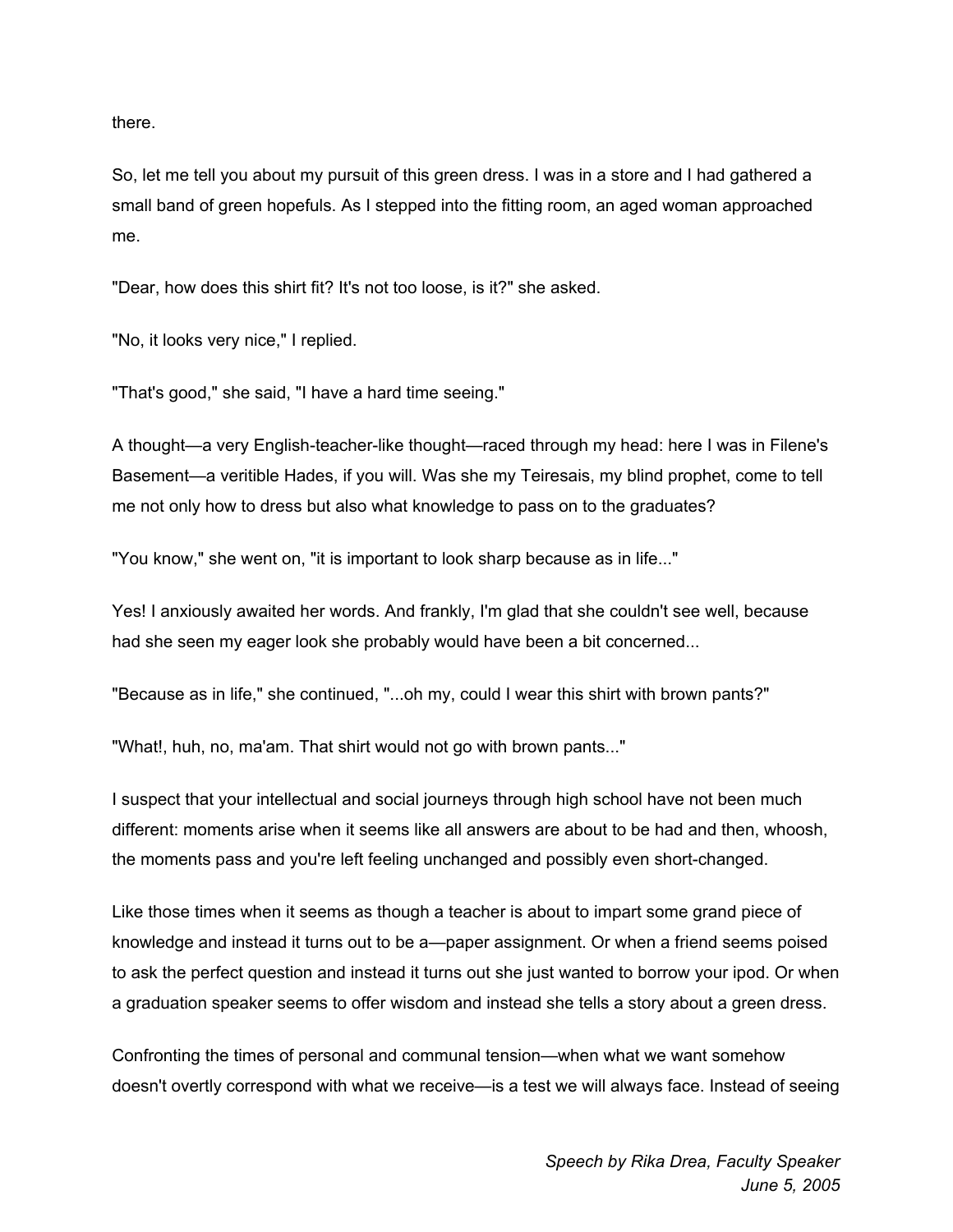there.

So, let me tell you about my pursuit of this green dress. I was in a store and I had gathered a small band of green hopefuls. As I stepped into the fitting room, an aged woman approached me.

"Dear, how does this shirt fit? It's not too loose, is it?" she asked.

"No, it looks very nice," I replied.

"That's good," she said, "I have a hard time seeing."

A thought—a very English-teacher-like thought—raced through my head: here I was in Filene's Basement—a veritible Hades, if you will. Was she my Teiresais, my blind prophet, come to tell me not only how to dress but also what knowledge to pass on to the graduates?

"You know," she went on, "it is important to look sharp because as in life..."

Yes! I anxiously awaited her words. And frankly, I'm glad that she couldn't see well, because had she seen my eager look she probably would have been a bit concerned...

"Because as in life," she continued, "...oh my, could I wear this shirt with brown pants?"

"What!, huh, no, ma'am. That shirt would not go with brown pants..."

I suspect that your intellectual and social journeys through high school have not been much different: moments arise when it seems like all answers are about to be had and then, whoosh, the moments pass and you're left feeling unchanged and possibly even short-changed.

Like those times when it seems as though a teacher is about to impart some grand piece of knowledge and instead it turns out to be a—paper assignment. Or when a friend seems poised to ask the perfect question and instead it turns out she just wanted to borrow your ipod. Or when a graduation speaker seems to offer wisdom and instead she tells a story about a green dress.

Confronting the times of personal and communal tension—when what we want somehow doesn't overtly correspond with what we receive—is a test we will always face. Instead of seeing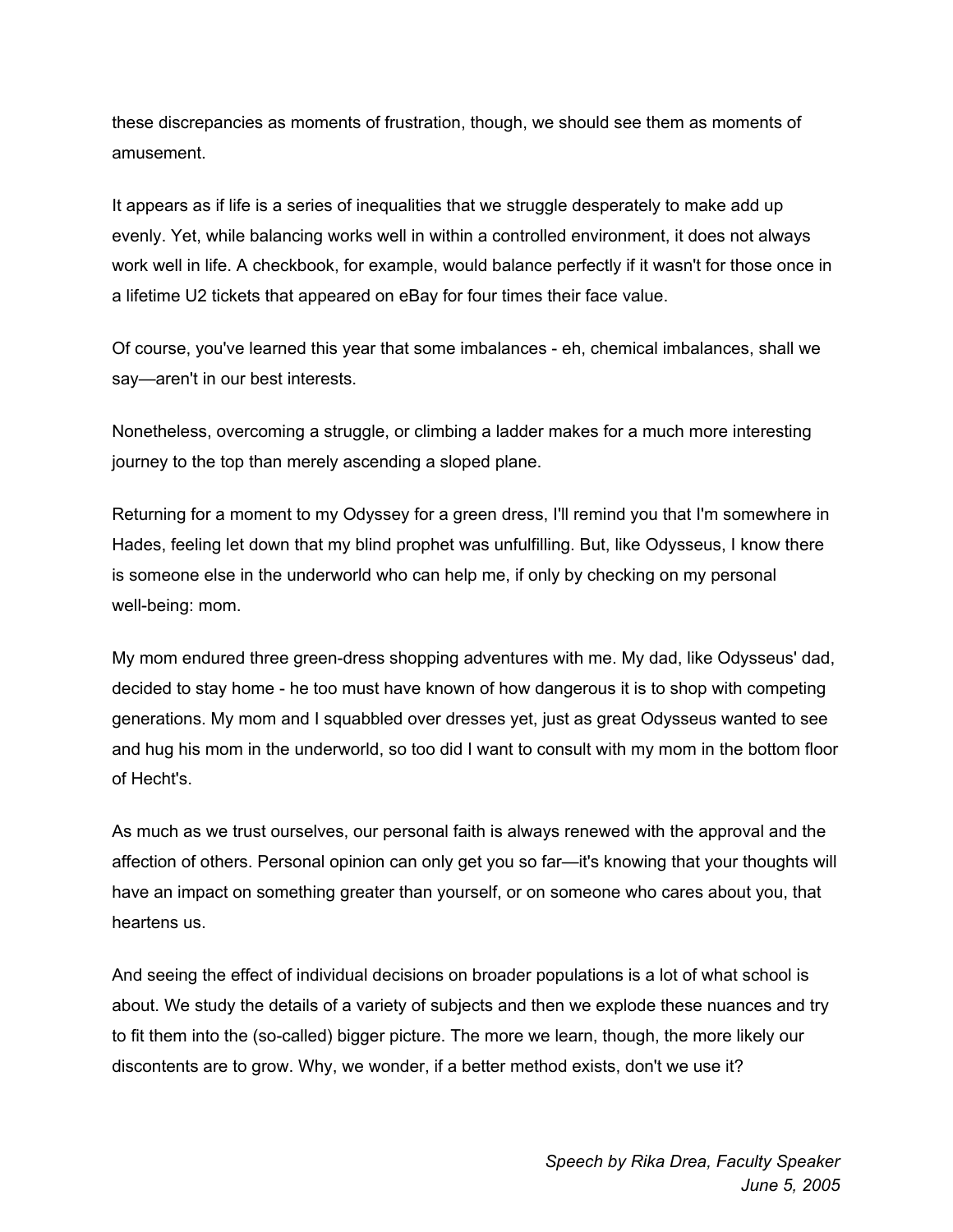these discrepancies as moments of frustration, though, we should see them as moments of amusement.

It appears as if life is a series of inequalities that we struggle desperately to make add up evenly. Yet, while balancing works well in within a controlled environment, it does not always work well in life. A checkbook, for example, would balance perfectly if it wasn't for those once in a lifetime U2 tickets that appeared on eBay for four times their face value.

Of course, you've learned this year that some imbalances - eh, chemical imbalances, shall we say—aren't in our best interests.

Nonetheless, overcoming a struggle, or climbing a ladder makes for a much more interesting journey to the top than merely ascending a sloped plane.

Returning for a moment to my Odyssey for a green dress, I'll remind you that I'm somewhere in Hades, feeling let down that my blind prophet was unfulfilling. But, like Odysseus, I know there is someone else in the underworld who can help me, if only by checking on my personal well-being: mom.

My mom endured three green-dress shopping adventures with me. My dad, like Odysseus' dad, decided to stay home - he too must have known of how dangerous it is to shop with competing generations. My mom and I squabbled over dresses yet, just as great Odysseus wanted to see and hug his mom in the underworld, so too did I want to consult with my mom in the bottom floor of Hecht's.

As much as we trust ourselves, our personal faith is always renewed with the approval and the affection of others. Personal opinion can only get you so far—it's knowing that your thoughts will have an impact on something greater than yourself, or on someone who cares about you, that heartens us.

And seeing the effect of individual decisions on broader populations is a lot of what school is about. We study the details of a variety of subjects and then we explode these nuances and try to fit them into the (so-called) bigger picture. The more we learn, though, the more likely our discontents are to grow. Why, we wonder, if a better method exists, don't we use it?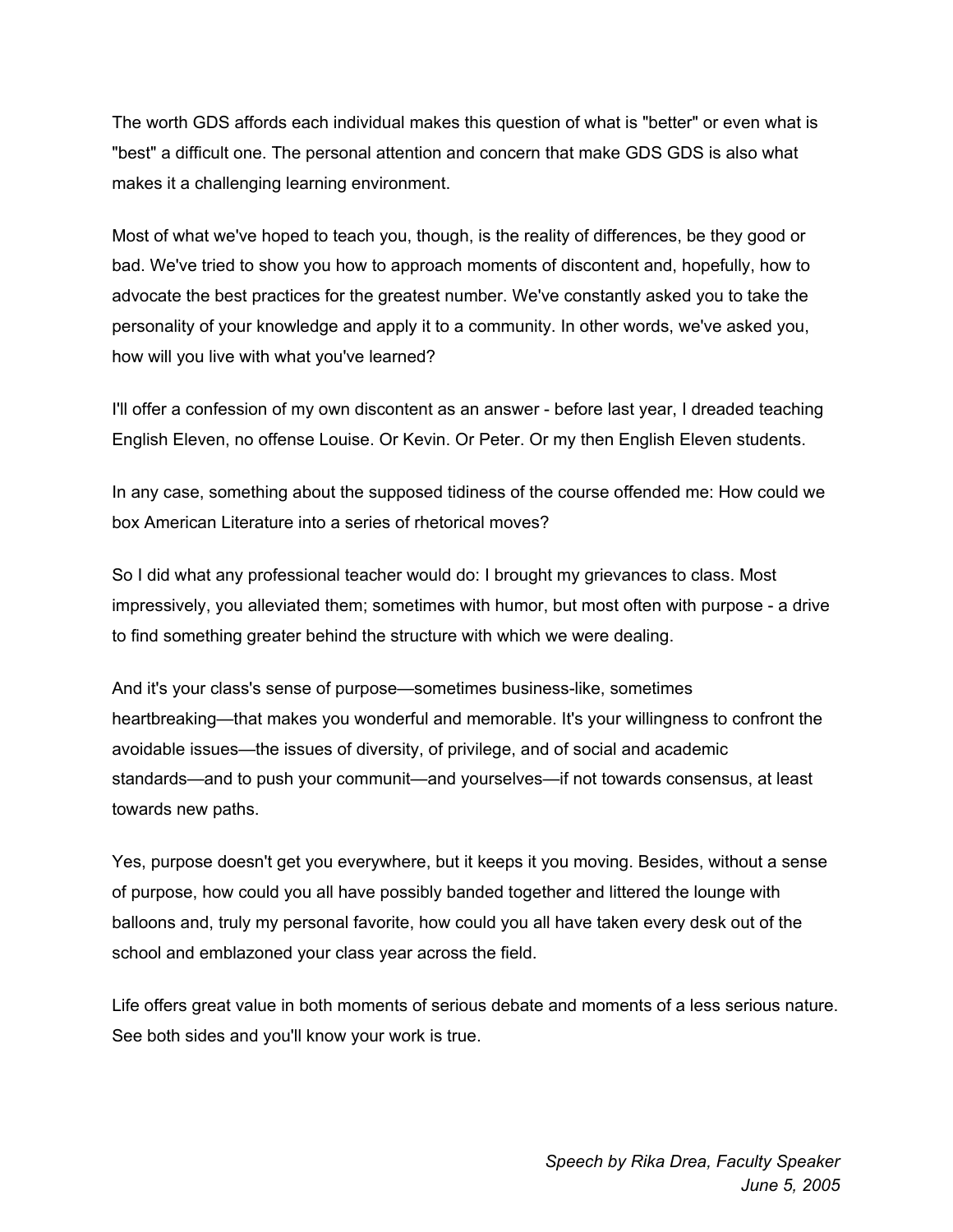The worth GDS affords each individual makes this question of what is "better" or even what is "best" a difficult one. The personal attention and concern that make GDS GDS is also what makes it a challenging learning environment.

Most of what we've hoped to teach you, though, is the reality of differences, be they good or bad. We've tried to show you how to approach moments of discontent and, hopefully, how to advocate the best practices for the greatest number. We've constantly asked you to take the personality of your knowledge and apply it to a community. In other words, we've asked you, how will you live with what you've learned?

I'll offer a confession of my own discontent as an answer - before last year, I dreaded teaching English Eleven, no offense Louise. Or Kevin. Or Peter. Or my then English Eleven students.

In any case, something about the supposed tidiness of the course offended me: How could we box American Literature into a series of rhetorical moves?

So I did what any professional teacher would do: I brought my grievances to class. Most impressively, you alleviated them; sometimes with humor, but most often with purpose - a drive to find something greater behind the structure with which we were dealing.

And it's your class's sense of purpose—sometimes business-like, sometimes heartbreaking—that makes you wonderful and memorable. It's your willingness to confront the avoidable issues—the issues of diversity, of privilege, and of social and academic standards—and to push your communit—and yourselves—if not towards consensus, at least towards new paths.

Yes, purpose doesn't get you everywhere, but it keeps it you moving. Besides, without a sense of purpose, how could you all have possibly banded together and littered the lounge with balloons and, truly my personal favorite, how could you all have taken every desk out of the school and emblazoned your class year across the field.

Life offers great value in both moments of serious debate and moments of a less serious nature. See both sides and you'll know your work is true.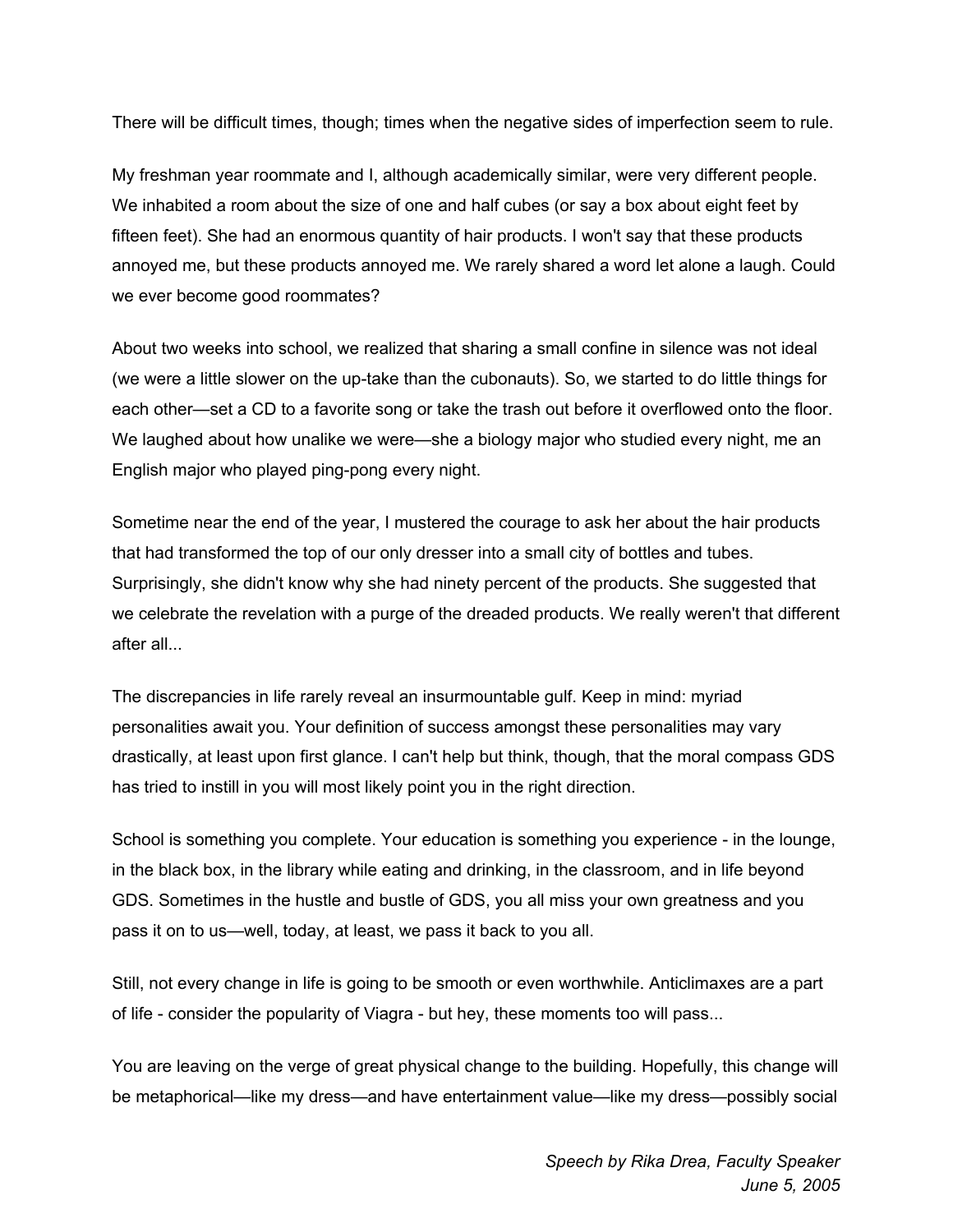There will be difficult times, though; times when the negative sides of imperfection seem to rule.

My freshman year roommate and I, although academically similar, were very different people. We inhabited a room about the size of one and half cubes (or say a box about eight feet by fifteen feet). She had an enormous quantity of hair products. I won't say that these products annoyed me, but these products annoyed me. We rarely shared a word let alone a laugh. Could we ever become good roommates?

About two weeks into school, we realized that sharing a small confine in silence was not ideal (we were a little slower on the up-take than the cubonauts). So, we started to do little things for each other—set a CD to a favorite song or take the trash out before it overflowed onto the floor. We laughed about how unalike we were—she a biology major who studied every night, me an English major who played ping-pong every night.

Sometime near the end of the year, I mustered the courage to ask her about the hair products that had transformed the top of our only dresser into a small city of bottles and tubes. Surprisingly, she didn't know why she had ninety percent of the products. She suggested that we celebrate the revelation with a purge of the dreaded products. We really weren't that different after all...

The discrepancies in life rarely reveal an insurmountable gulf. Keep in mind: myriad personalities await you. Your definition of success amongst these personalities may vary drastically, at least upon first glance. I can't help but think, though, that the moral compass GDS has tried to instill in you will most likely point you in the right direction.

School is something you complete. Your education is something you experience - in the lounge, in the black box, in the library while eating and drinking, in the classroom, and in life beyond GDS. Sometimes in the hustle and bustle of GDS, you all miss your own greatness and you pass it on to us—well, today, at least, we pass it back to you all.

Still, not every change in life is going to be smooth or even worthwhile. Anticlimaxes are a part of life - consider the popularity of Viagra - but hey, these moments too will pass...

You are leaving on the verge of great physical change to the building. Hopefully, this change will be metaphorical—like my dress—and have entertainment value—like my dress—possibly social